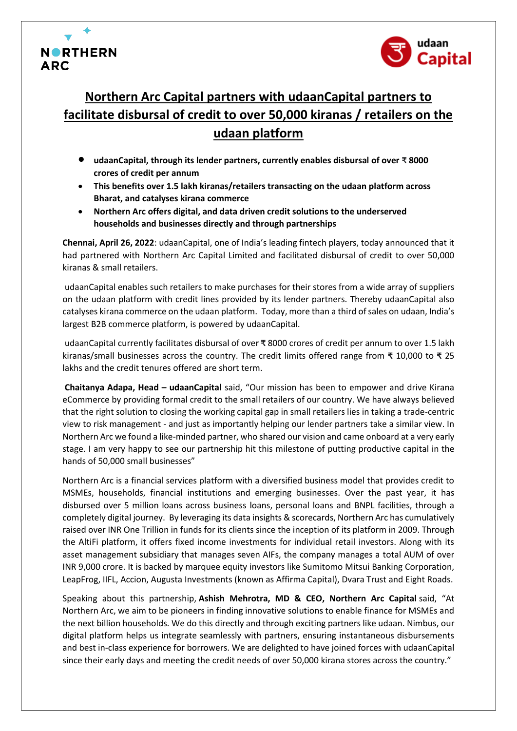



# **Northern Arc Capital partners with udaanCapital partners to facilitate disbursal of credit to over 50,000 kiranas / retailers on the udaan platform**

- **udaanCapital, through its lender partners, currently enables disbursal of over ₹ <sup>8000</sup> crores of credit per annum**
- **This benefits over 1.5 lakh kiranas/retailers transacting on the udaan platform across Bharat, and catalyses kirana commerce**
- **Northern Arc offers digital, and data driven credit solutions to the underserved households and businesses directly and through partnerships**

**Chennai, April 26, 2022**: udaanCapital, one of India's leading fintech players, today announced that it had partnered with Northern Arc Capital Limited and facilitated disbursal of credit to over 50,000 kiranas & small retailers.

udaanCapital enables such retailers to make purchases for their stores from a wide array of suppliers on the udaan platform with credit lines provided by its lender partners. Thereby udaanCapital also catalyses kirana commerce on the udaan platform. Today, more than a third of sales on udaan, India's largest B2B commerce platform, is powered by udaanCapital.

udaanCapital currently facilitates disbursal of over **₹** 8000 crores of credit per annum to over 1.5 lakh kiranas/small businesses across the country. The credit limits offered range from **₹** 10,000 to **₹** 25 lakhs and the credit tenures offered are short term.

**Chaitanya Adapa, Head – udaanCapital** said, "Our mission has been to empower and drive Kirana eCommerce by providing formal credit to the small retailers of our country. We have always believed that the right solution to closing the working capital gap in small retailers lies in taking a trade-centric view to risk management - and just as importantly helping our lender partners take a similar view. In Northern Arc we found a like-minded partner, who shared our vision and came onboard at a very early stage. I am very happy to see our partnership hit this milestone of putting productive capital in the hands of 50,000 small businesses"

Northern Arc is a financial services platform with a diversified business model that provides credit to MSMEs, households, financial institutions and emerging businesses. Over the past year, it has disbursed over 5 million loans across business loans, personal loans and BNPL facilities, through a completely digital journey. By leveraging its data insights & scorecards, Northern Arc has cumulatively raised over INR One Trillion in funds for its clients since the inception of its platform in 2009. Through the AltiFi platform, it offers fixed income investments for individual retail investors. Along with its asset management subsidiary that manages seven AIFs, the company manages a total AUM of over INR 9,000 crore. It is backed by marquee equity investors like Sumitomo Mitsui Banking Corporation, LeapFrog, IIFL, Accion, Augusta Investments (known as Affirma Capital), Dvara Trust and Eight Roads.

Speaking about this partnership, **Ashish Mehrotra, MD & CEO, Northern Arc Capital** said, "At Northern Arc, we aim to be pioneers in finding innovative solutions to enable finance for MSMEs and the next billion households. We do this directly and through exciting partners like udaan. Nimbus, our digital platform helps us integrate seamlessly with partners, ensuring instantaneous disbursements and best in-class experience for borrowers. We are delighted to have joined forces with udaanCapital since their early days and meeting the credit needs of over 50,000 kirana stores across the country."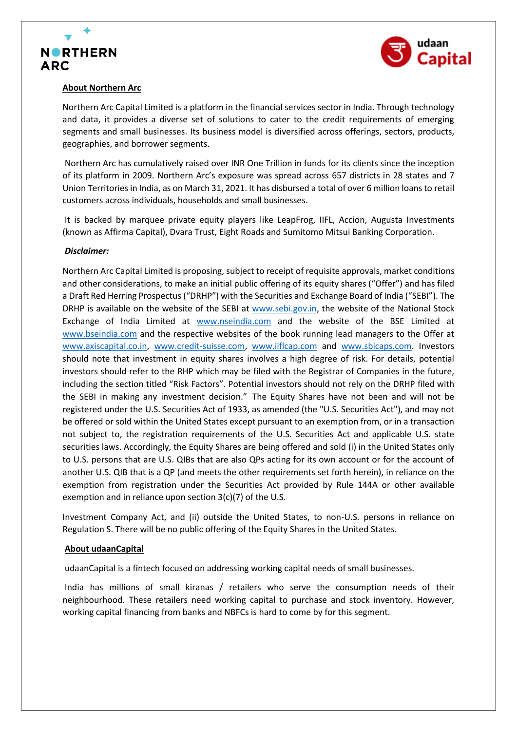



## **About Northern Arc**

Northern Arc Capital Limited is a platform in the financial services sector in India. Through technology and data, it provides a diverse set of solutions to cater to the credit requirements of emerging segments and small businesses. Its business model is diversified across offerings, sectors, products, geographies, and borrower segments.

Northern Arc has cumulatively raised over INR One Trillion in funds for its clients since the inception of its platform in 2009. Northern Arc's exposure was spread across 657 districts in 28 states and 7 Union Territories in India, as on March 31, 2021. It has disbursed a total of over 6 million loans to retail customers across individuals, households and small businesses.

It is backed by marquee private equity players like LeapFrog, IIFL, Accion, Augusta Investments (known as Affirma Capital), Dvara Trust, Eight Roads and Sumitomo Mitsui Banking Corporation.

# *Disclaimer:*

Northern Arc Capital Limited is proposing, subject to receipt of requisite approvals, market conditions and other considerations, to make an initial public offering of its equity shares ("Offer") and has filed a Draft Red Herring Prospectus ("DRHP") with the Securities and Exchange Board of India ("SEBI"). The DRHP is available on the website of the SEBI at [www.sebi.gov.in,](https://ind01.safelinks.protection.outlook.com/?url=http%3A%2F%2Fwww.sebi.gov.in%2F&data=05%7C01%7CSakshi.Sem%40northernarc.com%7C6b3322e7a070460f2b3608da2757a65b%7C9815c4a22c8b40d187af75e5365e197c%7C1%7C0%7C637865554666387538%7CUnknown%7CTWFpbGZsb3d8eyJWIjoiMC4wLjAwMDAiLCJQIjoiV2luMzIiLCJBTiI6Ik1haWwiLCJXVCI6Mn0%3D%7C3000%7C%7C%7C&sdata=NV5Yzgs2RTst621lN3POAQdI1al2ajkcBPkvEU2inMc%3D&reserved=0) the website of the National Stock Exchange of India Limited at [www.nseindia.com](https://ind01.safelinks.protection.outlook.com/?url=http%3A%2F%2Fwww.nseindia.com%2F&data=05%7C01%7CSakshi.Sem%40northernarc.com%7C6b3322e7a070460f2b3608da2757a65b%7C9815c4a22c8b40d187af75e5365e197c%7C1%7C0%7C637865554666387538%7CUnknown%7CTWFpbGZsb3d8eyJWIjoiMC4wLjAwMDAiLCJQIjoiV2luMzIiLCJBTiI6Ik1haWwiLCJXVCI6Mn0%3D%7C3000%7C%7C%7C&sdata=GMxHm71qpw8aw23Hn0vhDVni1nmn9uqgRrWkwm1z2GE%3D&reserved=0) and the website of the BSE Limited at [www.bseindia.com](https://ind01.safelinks.protection.outlook.com/?url=http%3A%2F%2Fwww.bseindia.com%2F&data=05%7C01%7CSakshi.Sem%40northernarc.com%7C6b3322e7a070460f2b3608da2757a65b%7C9815c4a22c8b40d187af75e5365e197c%7C1%7C0%7C637865554666387538%7CUnknown%7CTWFpbGZsb3d8eyJWIjoiMC4wLjAwMDAiLCJQIjoiV2luMzIiLCJBTiI6Ik1haWwiLCJXVCI6Mn0%3D%7C3000%7C%7C%7C&sdata=k7AVE2KIDYnNwJaHiG5weCbdbmm2xwY9%2By1cTUkeiMA%3D&reserved=0) and the respective websites of the book running lead managers to the Offer at [www.axiscapital.co.in,](https://ind01.safelinks.protection.outlook.com/?url=http%3A%2F%2Fwww.axiscapital.co.in%2F&data=05%7C01%7CSakshi.Sem%40northernarc.com%7C6b3322e7a070460f2b3608da2757a65b%7C9815c4a22c8b40d187af75e5365e197c%7C1%7C0%7C637865554666387538%7CUnknown%7CTWFpbGZsb3d8eyJWIjoiMC4wLjAwMDAiLCJQIjoiV2luMzIiLCJBTiI6Ik1haWwiLCJXVCI6Mn0%3D%7C3000%7C%7C%7C&sdata=9oc3ckARcW2VP0BjJS2VFntMra9ADctUf%2B5%2FHWLDTWU%3D&reserved=0) [www.credit-suisse.com,](https://ind01.safelinks.protection.outlook.com/?url=http%3A%2F%2Fwww.credit-suisse.com%2F&data=05%7C01%7CSakshi.Sem%40northernarc.com%7C6b3322e7a070460f2b3608da2757a65b%7C9815c4a22c8b40d187af75e5365e197c%7C1%7C0%7C637865554666387538%7CUnknown%7CTWFpbGZsb3d8eyJWIjoiMC4wLjAwMDAiLCJQIjoiV2luMzIiLCJBTiI6Ik1haWwiLCJXVCI6Mn0%3D%7C3000%7C%7C%7C&sdata=o1g95KxsgdnUfpp36joJ79vn7RGEaV32XvGJXQW5Ycg%3D&reserved=0) [www.iiflcap.com](https://ind01.safelinks.protection.outlook.com/?url=http%3A%2F%2Fwww.iiflcap.com%2F&data=05%7C01%7CSakshi.Sem%40northernarc.com%7C6b3322e7a070460f2b3608da2757a65b%7C9815c4a22c8b40d187af75e5365e197c%7C1%7C0%7C637865554666387538%7CUnknown%7CTWFpbGZsb3d8eyJWIjoiMC4wLjAwMDAiLCJQIjoiV2luMzIiLCJBTiI6Ik1haWwiLCJXVCI6Mn0%3D%7C3000%7C%7C%7C&sdata=X2bhycTjaPxjHRTj3sXKWGbbcqPrU4PYMaO0Be8WC9Y%3D&reserved=0) and [www.sbicaps.com.](https://ind01.safelinks.protection.outlook.com/?url=http%3A%2F%2Fwww.sbicaps.com%2F&data=05%7C01%7CSakshi.Sem%40northernarc.com%7C6b3322e7a070460f2b3608da2757a65b%7C9815c4a22c8b40d187af75e5365e197c%7C1%7C0%7C637865554666387538%7CUnknown%7CTWFpbGZsb3d8eyJWIjoiMC4wLjAwMDAiLCJQIjoiV2luMzIiLCJBTiI6Ik1haWwiLCJXVCI6Mn0%3D%7C3000%7C%7C%7C&sdata=8PT98BL1XpKGbFuyDB0BBWHTwTzB4gkTjAjxNTJApeQ%3D&reserved=0) Investors should note that investment in equity shares involves a high degree of risk. For details, potential investors should refer to the RHP which may be filed with the Registrar of Companies in the future, including the section titled "Risk Factors". Potential investors should not rely on the DRHP filed with the SEBI in making any investment decision." The Equity Shares have not been and will not be registered under the U.S. Securities Act of 1933, as amended (the "U.S. Securities Act"), and may not be offered or sold within the United States except pursuant to an exemption from, or in a transaction not subject to, the registration requirements of the U.S. Securities Act and applicable U.S. state securities laws. Accordingly, the Equity Shares are being offered and sold (i) in the United States only to U.S. persons that are U.S. QIBs that are also QPs acting for its own account or for the account of another U.S. QIB that is a QP (and meets the other requirements set forth herein), in reliance on the exemption from registration under the Securities Act provided by Rule 144A or other available exemption and in reliance upon section 3(c)(7) of the U.S.

Investment Company Act, and (ii) outside the United States, to non-U.S. persons in reliance on Regulation S. There will be no public offering of the Equity Shares in the United States.

## **About udaanCapital**

udaanCapital is a fintech focused on addressing working capital needs of small businesses.

India has millions of small kiranas / retailers who serve the consumption needs of their neighbourhood. These retailers need working capital to purchase and stock inventory. However, working capital financing from banks and NBFCs is hard to come by for this segment.